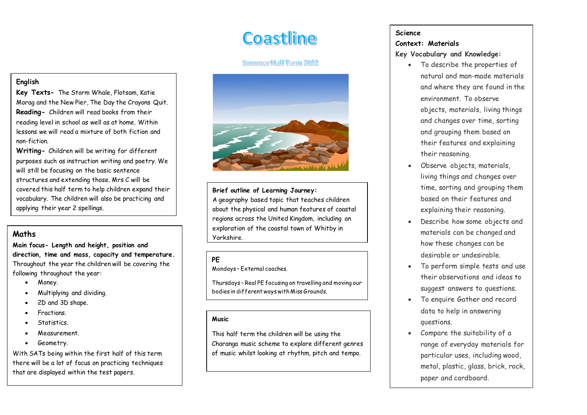# **Coastline**

# Summer Half Term 2022



## **Brief outline of Learning Journey:**

A geography based topic that teaches children about the physical and human features of coastal regions across the United Kingdom, including an exploration of the coastal town of Whitby in Yorkshire.

## **PE**

Mondays – External coaches.

Thursdays – Real PE focusing on travelling and moving our bodies in different ways with Miss Grounds.

#### **Music**

This half term the children will be using the Charanga music scheme to explore different genres of music whilst looking at rhythm, pitch and tempo.

#### **Science**

#### **Context: Materials**

#### **Key Vocabulary and Knowledge:**

- To describe the properties of natural and man-made materials and where they are found in the environment. To observe objects, materials, living things and changes over time, sorting and grouping them based on their features and explaining their reasoning.
- Observe objects, materials, living things and changes over time, sorting and grouping them based on their features and explaining their reasoning.
- Describe how some objects and materials can be changed and how these changes can be desirable or undesirable.
- To perform simple tests and use their observations and ideas to suggest answers to questions.
- To enquire Gather and record data to help in answering questions.
- Compare the suitability of a range of everyday materials for particular uses, including wood, metal, plastic, glass, brick, rock, paper and cardboard.

# **English**

**Key Texts-** The Storm Whale, Flotsam, Katie Morag and the New Pier, The Day the Crayons Quit. **Reading-** Children will read books from their reading level in school as well as at home. Within lessons we will read a mixture of both fiction and non-fiction.

**Writing-** Children will be writing for different purposes such as instruction writing and poetry. We will still be focusing on the basic sentence structures and extending those. Mrs C will be covered this half term to help children expand their vocabulary. The children will also be practicing and applying their year 2 spellings.

## **Maths**

**Main focus- Length and height, position and direction, time and mass, capacity and temperature.**  Throughout the year the children will be covering the following throughout the year:

- Money.
- Multiplying and dividing.
- 2D and 3D shape.
- Fractions.
- Statistics.
- Measurement.
- Geometry.

With SATs being within the first half of this term there will be a lot of focus on practicing techniques that are displayed within the test papers.